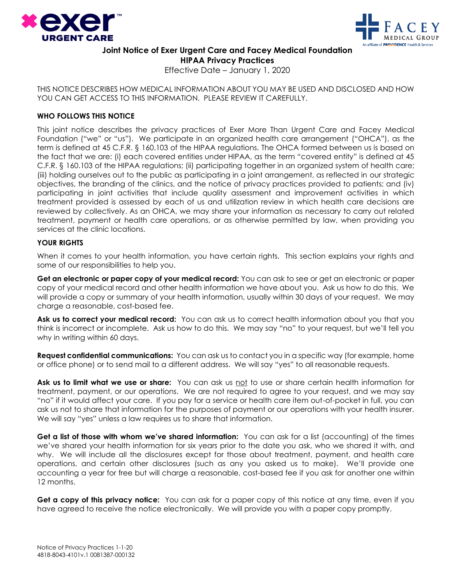



# **Joint Notice of Exer Urgent Care and Facey Medical Foundation HIPAA Privacy Practices**

Effective Date – January 1, 2020

THIS NOTICE DESCRIBES HOW MEDICAL INFORMATION ABOUT YOU MAY BE USED AND DISCLOSED AND HOW YOU CAN GET ACCESS TO THIS INFORMATION. PLEASE REVIEW IT CAREFULLY.

### **WHO FOLLOWS THIS NOTICE**

This joint notice describes the privacy practices of Exer More Than Urgent Care and Facey Medical Foundation ("we" or "us"). We participate in an organized health care arrangement ("OHCA"), as the term is defined at 45 C.F.R. § 160.103 of the HIPAA regulations. The OHCA formed between us is based on the fact that we are: (i) each covered entities under HIPAA, as the term "covered entity" is defined at 45 C.F.R. § 160.103 of the HIPAA regulations; (ii) participating together in an organized system of health care; (iii) holding ourselves out to the public as participating in a joint arrangement, as reflected in our strategic objectives, the branding of the clinics, and the notice of privacy practices provided to patients; and (iv) participating in joint activities that include quality assessment and improvement activities in which treatment provided is assessed by each of us and utilization review in which health care decisions are reviewed by collectively. As an OHCA, we may share your information as necessary to carry out related treatment, payment or health care operations, or as otherwise permitted by law, when providing you services at the clinic locations.

#### **YOUR RIGHTS**

When it comes to your health information, you have certain rights. This section explains your rights and some of our responsibilities to help you.

**Get an electronic or paper copy of your medical record:** You can ask to see or get an electronic or paper copy of your medical record and other health information we have about you. Ask us how to do this. We will provide a copy or summary of your health information, usually within 30 days of your request. We may charge a reasonable, cost-based fee.

**Ask us to correct your medical record:** You can ask us to correct health information about you that you think is incorrect or incomplete. Ask us how to do this. We may say "no" to your request, but we'll tell you why in writing within 60 days.

**Request confidential communications:** You can ask us to contact you in a specific way (for example, home or office phone) or to send mail to a different address. We will say "yes" to all reasonable requests.

**Ask us to limit what we use or share:** You can ask us not to use or share certain health information for treatment, payment, or our operations. We are not required to agree to your request, and we may say "no" if it would affect your care. If you pay for a service or health care item out-of-pocket in full, you can ask us not to share that information for the purposes of payment or our operations with your health insurer. We will say "yes" unless a law requires us to share that information.

**Get a list of those with whom we've shared information:** You can ask for a list (accounting) of the times we've shared your health information for six years prior to the date you ask, who we shared it with, and why. We will include all the disclosures except for those about treatment, payment, and health care operations, and certain other disclosures (such as any you asked us to make). We'll provide one accounting a year for free but will charge a reasonable, cost-based fee if you ask for another one within 12 months.

Get a copy of this privacy notice: You can ask for a paper copy of this notice at any time, even if you have agreed to receive the notice electronically. We will provide you with a paper copy promptly.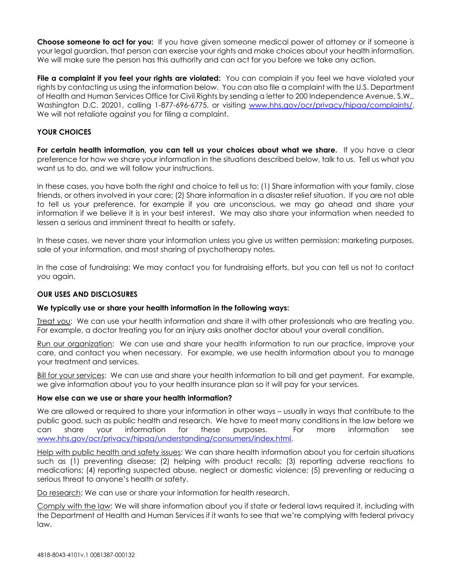**Choose someone to act for you:** If you have given someone medical power of attorney or if someone is your legal guardian, that person can exercise your rights and make choices about your health information. We will make sure the person has this authority and can act for you before we take any action.

**File a complaint if you feel your rights are violated:** You can complain if you feel we have violated your rights by contacting us using the information below. You can also file a complaint with the U.S. Department of Health and Human Services Office for Civil Rights by sending a letter to 200 Independence Avenue, S.W., Washington D.C. 20201, calling 1-877-696-6775, or visiting [www.hhs.gov/ocr/privacy/hipaa/complaints/.](http://www.hhs.gov/ocr/privacy/hipaa/complaints/) We will not retaliate against you for filing a complaint.

# **YOUR CHOICES**

**For certain health information, you can tell us your choices about what we share.** If you have a clear preference for how we share your information in the situations described below, talk to us. Tell us what you want us to do, and we will follow your instructions.

In these cases, you have both the right and choice to tell us to: (1) Share information with your family, close friends, or others involved in your care; (2) Share information in a disaster relief situation. If you are not able to tell us your preference, for example if you are unconscious, we may go ahead and share your information if we believe it is in your best interest. We may also share your information when needed to lessen a serious and imminent threat to health or safety.

In these cases, we never share your information unless you give us written permission: marketing purposes, sale of your information, and most sharing of psychotherapy notes.

In the case of fundraising: We may contact you for fundraising efforts, but you can tell us not to contact you again.

## **OUR USES AND DISCLOSURES**

### **We typically use or share your health information in the following ways:**

Treat you: We can use your health information and share it with other professionals who are treating you. For example, a doctor treating you for an injury asks another doctor about your overall condition.

Run our organization: We can use and share your health information to run our practice, improve your care, and contact you when necessary. For example, we use health information about you to manage your treatment and services.

Bill for your services: We can use and share your health information to bill and get payment. For example, we give information about you to your health insurance plan so it will pay for your services.

### **How else can we use or share your health information?**

We are allowed or required to share your information in other ways – usually in ways that contribute to the public good, such as public health and research. We have to meet many conditions in the law before we can share your information for these purposes. For more information see [www.hhs.gov/ocr/privacy/hipaa/understanding/consumers/index.html.](http://www.hhs.gov/ocr/privacy/hipaa/understanding/consumers/index.html)

Help with public health and safety issues: We can share health information about you for certain situations such as (1) preventing disease; (2) helping with product recalls; (3) reporting adverse reactions to medications; (4) reporting suspected abuse, neglect or domestic violence; (5) preventing or reducing a serious threat to anyone's health or safety.

Do research: We can use or share your information for health research.

Comply with the law: We will share information about you if state or federal laws required it, including with the Department of Health and Human Services if it wants to see that we're complying with federal privacy law.